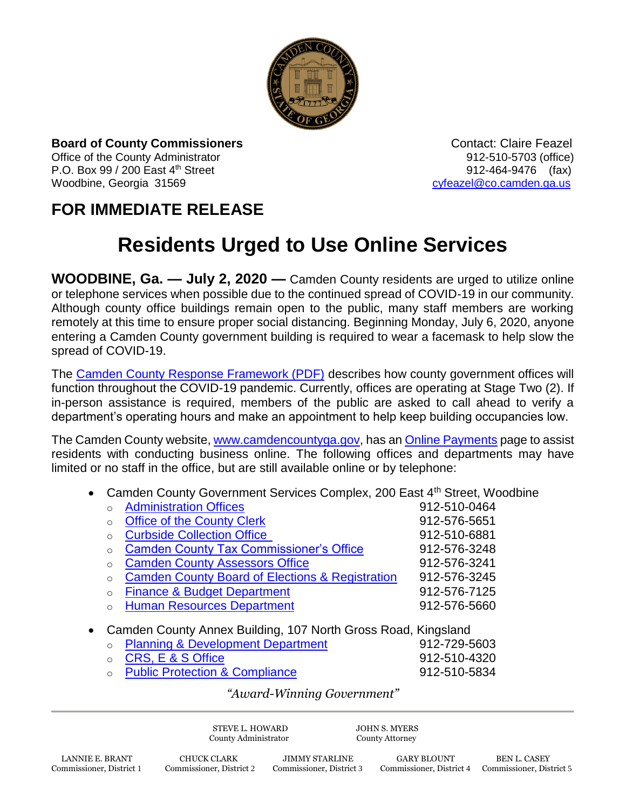

**Board of County Commissioners Contact: Claire Feazel Contact: Claire Feazel** Office of the County Administrator 012-510-5703 (office) P.O. Box 99 / 200 East 4<sup>th</sup> Street 912-464-9476 (fax) Woodbine, Georgia 31569 [cyfeazel@co.camden.ga.us](mailto:cyfeazel@co.camden.ga.us)

## **FOR IMMEDIATE RELEASE**

## **Residents Urged to Use Online Services**

**WOODBINE, Ga. — July 2, 2020 —** Camden County residents are urged to utilize online or telephone services when possible due to the continued spread of COVID-19 in our community. Although county office buildings remain open to the public, many staff members are working remotely at this time to ensure proper social distancing. Beginning Monday, July 6, 2020, anyone entering a Camden County government building is required to wear a facemask to help slow the spread of COVID-19.

The [Camden County Response Framework \(PDF\)](https://www.camdencountyga.gov/DocumentCenter/View/11695/Camden-County-Emergency-Response-Framework) describes how county government offices will function throughout the COVID-19 pandemic. Currently, offices are operating at Stage Two (2). If in-person assistance is required, members of the public are asked to call ahead to verify a department's operating hours and make an appointment to help keep building occupancies low.

The Camden County website, [www.camdencountyga.gov,](http://www.camdencountyga.gov/) has an [Online Payments](https://www.camdencountyga.gov/835/Online-Payments) page to assist residents with conducting business online. The following offices and departments may have limited or no staff in the office, but are still available online or by telephone:

• Camden County Government Services Complex, 200 East 4<sup>th</sup> Street, Woodbine

|                                                                                                                                  | $\Omega$ | <b>Administration Offices</b>                              | 912-510-0464 |  |
|----------------------------------------------------------------------------------------------------------------------------------|----------|------------------------------------------------------------|--------------|--|
|                                                                                                                                  | $\circ$  | <b>Office of the County Clerk</b>                          | 912-576-5651 |  |
|                                                                                                                                  | $\circ$  | <b>Curbside Collection Office</b>                          | 912-510-6881 |  |
|                                                                                                                                  | $\Omega$ | <b>Camden County Tax Commissioner's Office</b>             | 912-576-3248 |  |
|                                                                                                                                  | $\Omega$ | <b>Camden County Assessors Office</b>                      | 912-576-3241 |  |
|                                                                                                                                  | $\Omega$ | <b>Camden County Board of Elections &amp; Registration</b> | 912-576-3245 |  |
|                                                                                                                                  | $\Omega$ | <b>Finance &amp; Budget Department</b>                     | 912-576-7125 |  |
|                                                                                                                                  | $\Omega$ | <b>Human Resources Department</b>                          | 912-576-5660 |  |
| • Camden County Annex Building, 107 North Gross Road, Kingsland<br>Districts of Development Department of<br>$0.10$ $700$ $7000$ |          |                                                            |              |  |

| • Planning & Development Department | 912-729-5603      |
|-------------------------------------|-------------------|
| ○ CRS, E & S Office                 | 912-510-4320      |
| Duktha Duata atlant A Osmanlian as  | $0.10 \pm 0.0001$ |

[Public Protection & Compliance](https://www.camdencountyga.gov/990/Public-Protection-Compliance) 612-510-5834

## *"Award-Winning Government"*

STEVE L. HOWARD JOHN S. MYERS County Administrator County Attorney